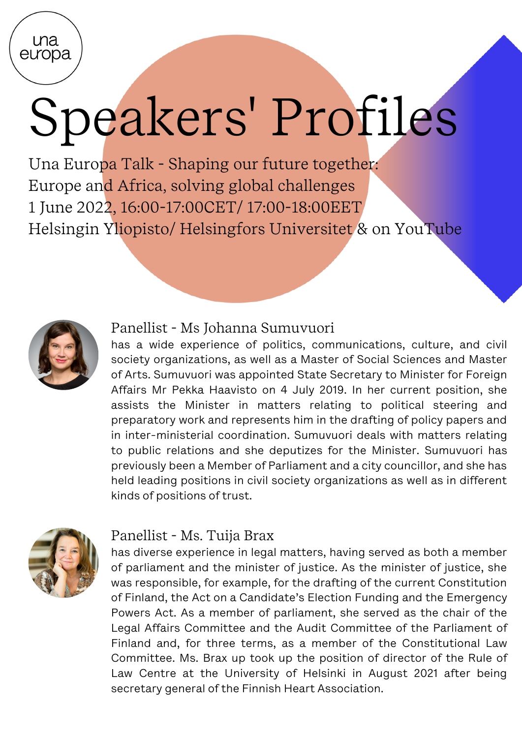ma europa

# Speakers' Profiles

Una Europa Talk - Shaping our future together: Europe and Africa, solving global challenges 1 June 2022, 16:00-17:00CET/ 17:00-18:00EET Helsingin Yliopisto/ [Helsingfors Universitet](https://www.una-europa.eu/about/helsingin-yliopisto#entry:881@1:url) & on YouTube



#### Panellist - Ms Johanna Sumuvuori

has a wide experience of politics, communications, culture, and civil society organizations, as well as a Master of Social Sciences and Master of Arts. Sumuvuori was appointed State Secretary to Minister for Foreign Affairs Mr Pekka Haavisto on 4 July 2019. In her current position, she assists the Minister in matters relating to political steering and preparatory work and represents him in the drafting of policy papers and in inter-ministerial coordination. Sumuvuori deals with matters relating to public relations and she deputizes for the Minister. Sumuvuori has previously been a Member of Parliament and a city councillor, and she has held leading positions in civil society organizations as well as in different kinds of positions of trust.



### Panellist - Ms. Tuija Brax

has diverse experience in legal matters, having served as both a member of parliament and the minister of justice. As the minister of justice, she was responsible, for example, for the drafting of the current Constitution of Finland, the Act on a Candidate's Election Funding and the Emergency Powers Act. As a member of parliament, she served as the chair of the Legal Affairs Committee and the Audit Committee of the Parliament of Finland and, for three terms, as a member of the Constitutional Law Committee. Ms. Brax up took up the position of director of the Rule of Law Centre at the University of Helsinki in August 2021 after being secretary general of the Finnish Heart Association.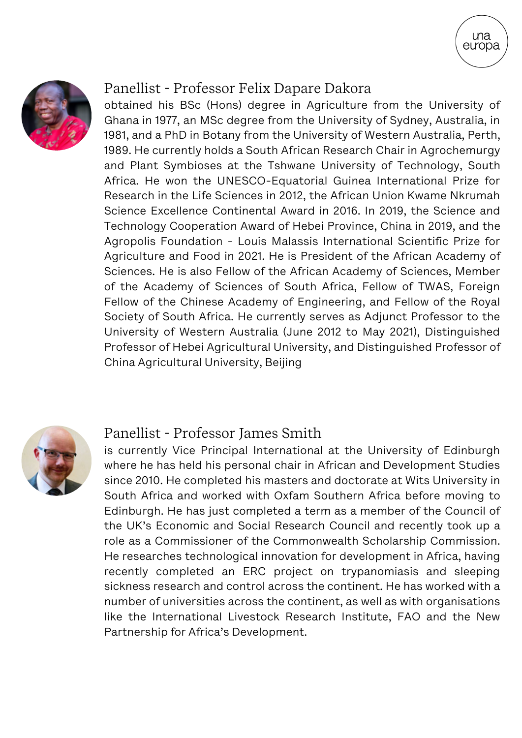

#### Panellist - Professor Felix Dapare Dakora

obtained his BSc (Hons) degree in Agriculture from the University of Ghana in 1977, an MSc degree from the University of Sydney, Australia, in 1981, and a PhD in Botany from the University of Western Australia, Perth, 1989. He currently holds a South African Research Chair in Agrochemurgy and Plant Symbioses at the Tshwane University of Technology, South Africa. He won the UNESCO-Equatorial Guinea International Prize for Research in the Life Sciences in 2012, the African Union Kwame Nkrumah Science Excellence Continental Award in 2016. In 2019, the Science and Technology Cooperation Award of Hebei Province, China in 2019, and the Agropolis Foundation - Louis Malassis International Scientific Prize for Agriculture and Food in 2021. He is President of the African Academy of Sciences. He is also Fellow of the African Academy of Sciences, Member of the Academy of Sciences of South Africa, Fellow of TWAS, Foreign Fellow of the Chinese Academy of Engineering, and Fellow of the Royal Society of South Africa. He currently serves as Adjunct Professor to the University of Western Australia (June 2012 to May 2021), Distinguished Professor of Hebei Agricultural University, and Distinguished Professor of China Agricultural University, Beijing

una eưopa



#### Panellist - Professor James Smith

is currently Vice Principal International at the University of Edinburgh where he has held his personal chair in African and Development Studies since 2010. He completed his masters and doctorate at Wits University in South Africa and worked with Oxfam Southern Africa before moving to Edinburgh. He has just completed a term as a member of the Council of the UK's Economic and Social Research Council and recently took up a role as a Commissioner of the Commonwealth Scholarship Commission. He researches technological innovation for development in Africa, having recently completed an ERC project on trypanomiasis and sleeping sickness research and control across the continent. He has worked with a number of universities across the continent, as well as with organisations like the International Livestock Research Institute, FAO and the New Partnership for Africa's Development.